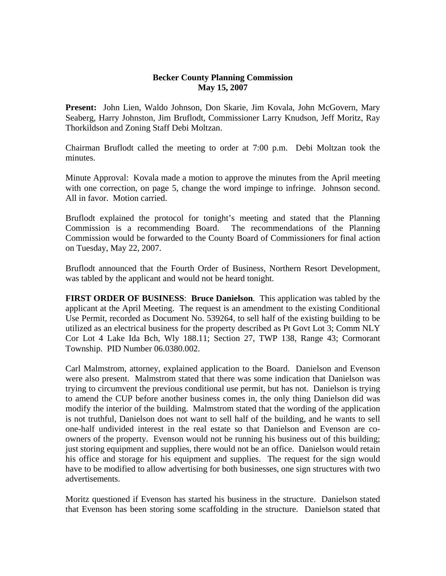## **Becker County Planning Commission May 15, 2007**

**Present:** John Lien, Waldo Johnson, Don Skarie, Jim Kovala, John McGovern, Mary Seaberg, Harry Johnston, Jim Bruflodt, Commissioner Larry Knudson, Jeff Moritz, Ray Thorkildson and Zoning Staff Debi Moltzan.

Chairman Bruflodt called the meeting to order at 7:00 p.m. Debi Moltzan took the minutes.

Minute Approval: Kovala made a motion to approve the minutes from the April meeting with one correction, on page 5, change the word impinge to infringe. Johnson second. All in favor. Motion carried.

Bruflodt explained the protocol for tonight's meeting and stated that the Planning Commission is a recommending Board. The recommendations of the Planning Commission would be forwarded to the County Board of Commissioners for final action on Tuesday, May 22, 2007.

Bruflodt announced that the Fourth Order of Business, Northern Resort Development, was tabled by the applicant and would not be heard tonight.

**FIRST ORDER OF BUSINESS**: **Bruce Danielson**. This application was tabled by the applicant at the April Meeting. The request is an amendment to the existing Conditional Use Permit, recorded as Document No. 539264, to sell half of the existing building to be utilized as an electrical business for the property described as Pt Govt Lot 3; Comm NLY Cor Lot 4 Lake Ida Bch, Wly 188.11; Section 27, TWP 138, Range 43; Cormorant Township. PID Number 06.0380.002.

Carl Malmstrom, attorney, explained application to the Board. Danielson and Evenson were also present. Malmstrom stated that there was some indication that Danielson was trying to circumvent the previous conditional use permit, but has not. Danielson is trying to amend the CUP before another business comes in, the only thing Danielson did was modify the interior of the building. Malmstrom stated that the wording of the application is not truthful, Danielson does not want to sell half of the building, and he wants to sell one-half undivided interest in the real estate so that Danielson and Evenson are coowners of the property. Evenson would not be running his business out of this building; just storing equipment and supplies, there would not be an office. Danielson would retain his office and storage for his equipment and supplies. The request for the sign would have to be modified to allow advertising for both businesses, one sign structures with two advertisements.

Moritz questioned if Evenson has started his business in the structure. Danielson stated that Evenson has been storing some scaffolding in the structure. Danielson stated that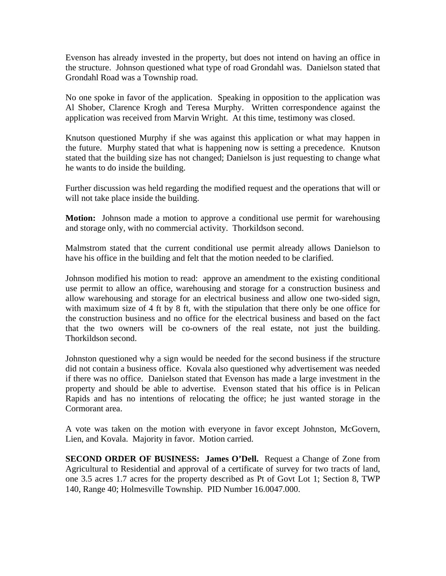Evenson has already invested in the property, but does not intend on having an office in the structure. Johnson questioned what type of road Grondahl was. Danielson stated that Grondahl Road was a Township road.

No one spoke in favor of the application. Speaking in opposition to the application was Al Shober, Clarence Krogh and Teresa Murphy. Written correspondence against the application was received from Marvin Wright. At this time, testimony was closed.

Knutson questioned Murphy if she was against this application or what may happen in the future. Murphy stated that what is happening now is setting a precedence. Knutson stated that the building size has not changed; Danielson is just requesting to change what he wants to do inside the building.

Further discussion was held regarding the modified request and the operations that will or will not take place inside the building.

**Motion:** Johnson made a motion to approve a conditional use permit for warehousing and storage only, with no commercial activity. Thorkildson second.

Malmstrom stated that the current conditional use permit already allows Danielson to have his office in the building and felt that the motion needed to be clarified.

Johnson modified his motion to read: approve an amendment to the existing conditional use permit to allow an office, warehousing and storage for a construction business and allow warehousing and storage for an electrical business and allow one two-sided sign, with maximum size of 4 ft by 8 ft, with the stipulation that there only be one office for the construction business and no office for the electrical business and based on the fact that the two owners will be co-owners of the real estate, not just the building. Thorkildson second.

Johnston questioned why a sign would be needed for the second business if the structure did not contain a business office. Kovala also questioned why advertisement was needed if there was no office. Danielson stated that Evenson has made a large investment in the property and should be able to advertise. Evenson stated that his office is in Pelican Rapids and has no intentions of relocating the office; he just wanted storage in the Cormorant area.

A vote was taken on the motion with everyone in favor except Johnston, McGovern, Lien, and Kovala. Majority in favor. Motion carried.

**SECOND ORDER OF BUSINESS: James O'Dell.** Request a Change of Zone from Agricultural to Residential and approval of a certificate of survey for two tracts of land, one 3.5 acres 1.7 acres for the property described as Pt of Govt Lot 1; Section 8, TWP 140, Range 40; Holmesville Township. PID Number 16.0047.000.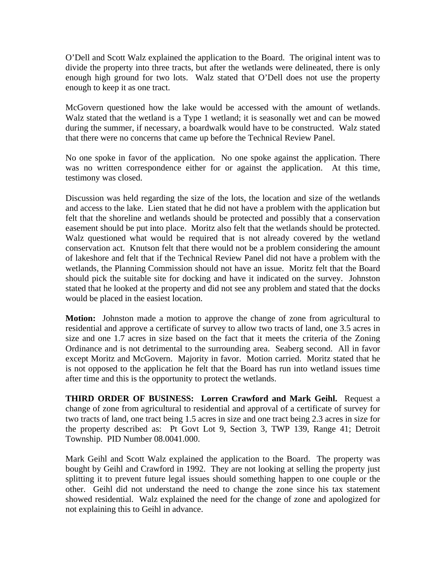O'Dell and Scott Walz explained the application to the Board. The original intent was to divide the property into three tracts, but after the wetlands were delineated, there is only enough high ground for two lots. Walz stated that O'Dell does not use the property enough to keep it as one tract.

McGovern questioned how the lake would be accessed with the amount of wetlands. Walz stated that the wetland is a Type 1 wetland; it is seasonally wet and can be mowed during the summer, if necessary, a boardwalk would have to be constructed. Walz stated that there were no concerns that came up before the Technical Review Panel.

No one spoke in favor of the application. No one spoke against the application. There was no written correspondence either for or against the application. At this time, testimony was closed.

Discussion was held regarding the size of the lots, the location and size of the wetlands and access to the lake. Lien stated that he did not have a problem with the application but felt that the shoreline and wetlands should be protected and possibly that a conservation easement should be put into place. Moritz also felt that the wetlands should be protected. Walz questioned what would be required that is not already covered by the wetland conservation act. Knutson felt that there would not be a problem considering the amount of lakeshore and felt that if the Technical Review Panel did not have a problem with the wetlands, the Planning Commission should not have an issue. Moritz felt that the Board should pick the suitable site for docking and have it indicated on the survey. Johnston stated that he looked at the property and did not see any problem and stated that the docks would be placed in the easiest location.

**Motion:** Johnston made a motion to approve the change of zone from agricultural to residential and approve a certificate of survey to allow two tracts of land, one 3.5 acres in size and one 1.7 acres in size based on the fact that it meets the criteria of the Zoning Ordinance and is not detrimental to the surrounding area. Seaberg second. All in favor except Moritz and McGovern. Majority in favor. Motion carried. Moritz stated that he is not opposed to the application he felt that the Board has run into wetland issues time after time and this is the opportunity to protect the wetlands.

**THIRD ORDER OF BUSINESS: Lorren Crawford and Mark Geihl.** Request a change of zone from agricultural to residential and approval of a certificate of survey for two tracts of land, one tract being 1.5 acres in size and one tract being 2.3 acres in size for the property described as: Pt Govt Lot 9, Section 3, TWP 139, Range 41; Detroit Township. PID Number 08.0041.000.

Mark Geihl and Scott Walz explained the application to the Board. The property was bought by Geihl and Crawford in 1992. They are not looking at selling the property just splitting it to prevent future legal issues should something happen to one couple or the other. Geihl did not understand the need to change the zone since his tax statement showed residential. Walz explained the need for the change of zone and apologized for not explaining this to Geihl in advance.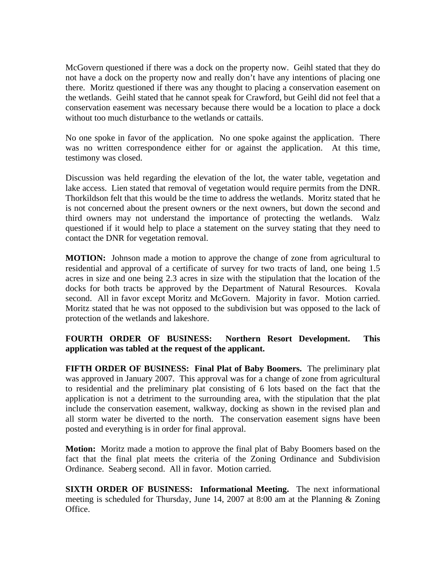McGovern questioned if there was a dock on the property now. Geihl stated that they do not have a dock on the property now and really don't have any intentions of placing one there. Moritz questioned if there was any thought to placing a conservation easement on the wetlands. Geihl stated that he cannot speak for Crawford, but Geihl did not feel that a conservation easement was necessary because there would be a location to place a dock without too much disturbance to the wetlands or cattails.

No one spoke in favor of the application. No one spoke against the application. There was no written correspondence either for or against the application. At this time, testimony was closed.

Discussion was held regarding the elevation of the lot, the water table, vegetation and lake access. Lien stated that removal of vegetation would require permits from the DNR. Thorkildson felt that this would be the time to address the wetlands. Moritz stated that he is not concerned about the present owners or the next owners, but down the second and third owners may not understand the importance of protecting the wetlands. Walz questioned if it would help to place a statement on the survey stating that they need to contact the DNR for vegetation removal.

**MOTION:** Johnson made a motion to approve the change of zone from agricultural to residential and approval of a certificate of survey for two tracts of land, one being 1.5 acres in size and one being 2.3 acres in size with the stipulation that the location of the docks for both tracts be approved by the Department of Natural Resources. Kovala second. All in favor except Moritz and McGovern. Majority in favor. Motion carried. Moritz stated that he was not opposed to the subdivision but was opposed to the lack of protection of the wetlands and lakeshore.

## **FOURTH ORDER OF BUSINESS: Northern Resort Development. This application was tabled at the request of the applicant.**

**FIFTH ORDER OF BUSINESS: Final Plat of Baby Boomers.** The preliminary plat was approved in January 2007. This approval was for a change of zone from agricultural to residential and the preliminary plat consisting of 6 lots based on the fact that the application is not a detriment to the surrounding area, with the stipulation that the plat include the conservation easement, walkway, docking as shown in the revised plan and all storm water be diverted to the north. The conservation easement signs have been posted and everything is in order for final approval.

**Motion:** Moritz made a motion to approve the final plat of Baby Boomers based on the fact that the final plat meets the criteria of the Zoning Ordinance and Subdivision Ordinance. Seaberg second. All in favor. Motion carried.

**SIXTH ORDER OF BUSINESS: Informational Meeting.** The next informational meeting is scheduled for Thursday, June 14, 2007 at 8:00 am at the Planning & Zoning Office.